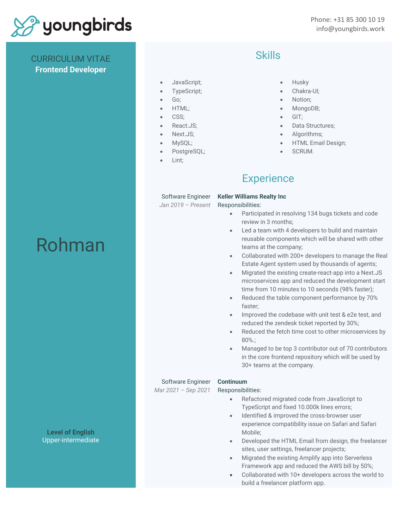

CURRICULUM VITAE **Frontend Developer**

# Skills

- JavaScript;
- TypeScript;
- Go;
- HTML;
- CSS;
- React.JS;
- Next.JS:
- MySQL;
- PostgreSQL;
- Lint:

#### • Husky

- Chakra-UI;
- Notion;
- MongoDB;
- GIT;
- Data Structures;
- Algorithms:
- HTML Email Design;
- SCRUM.

## **Experience**

#### Software Engineer

*Jan 2019 – Present*

Responsibilities:

**Keller Williams Realty Inc**

- Participated in resolving 134 bugs tickets and code review in 3 months;
- Led a team with 4 developers to build and maintain reusable components which will be shared with other teams at the company;
- Collaborated with 200+ developers to manage the Real Estate Agent system used by thousands of agents;
- Migrated the existing create-react-app into a Next.JS microservices app and reduced the development start time from 10 minutes to 10 seconds (98% faster);
- Reduced the table component performance by 70% faster;
- Improved the codebase with unit test & e2e test, and reduced the zendesk ticket reported by 30%;
- Reduced the fetch time cost to other microservices by 80%.;
- Managed to be top 3 contributor out of 70 contributors in the core frontend repository which will be used by 30+ teams at the company.

#### Software Engineer

*Mar 2021 – Sep 2021*

### **Continuum**

Responsibilities:

- Refactored migrated code from JavaScript to TypeScript and fixed 10.000k lines errors;
- Identified & improved the cross-browser user experience compatibility issue on Safari and Safari Mobile;
- Developed the HTML Email from design, the freelancer sites, user settings, freelancer projects;
- Migrated the existing Amplify app into Serverless Framework app and reduced the AWS bill by 50%;
- Collaborated with 10+ developers across the world to build a freelancer platform app.

**Level of English** Upper-intermediate

# Rohman